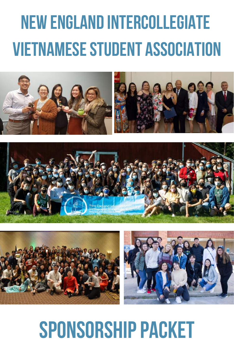# **New England Intercollegiate VIETNAMESE STUDENT ASSOCIATION**







## **SPONSORSHIP PACKET**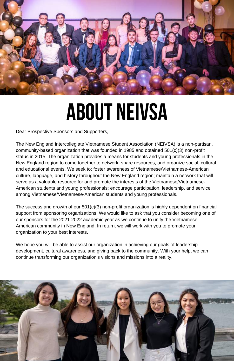

## **about neivsa**

Dear Prospective Sponsors and Supporters,

The New England Intercollegiate Vietnamese Student Association (NEIVSA) is a non-partisan, community-based organization that was founded in 1985 and obtained 501(c)(3) non-profit status in 2015. The organization provides a means for students and young professionals in the New England region to come together to network, share resources, and organize social, cultural, and educational events. We seek to: foster awareness of Vietnamese/Vietnamese-American culture, language, and history throughout the New England region; maintain a network that will serve as a valuable resource for and promote the interests of the Vietnamese/Vietnamese-American students and young professionals; encourage participation, leadership, and service among Vietnamese/Vietnamese-American students and young professionals.

The success and growth of our 501(c)(3) non-profit organization is highly dependent on financial support from sponsoring organizations. We would like to ask that you consider becoming one of our sponsors for the 2021-2022 academic year as we continue to unify the Vietnamese-American community in New England. In return, we will work with you to promote your organization to your best interests.

We hope you will be able to assist our organization in achieving our goals of leadership development, cultural awareness, and giving back to the community. With your help, we can continue transforming our organization's visions and missions into a reality.

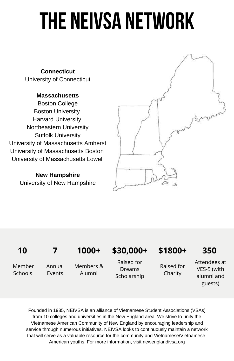# **The NEIVSA Network**

**Connecticut** University of Connecticut

#### **Massachusetts**

Boston College Boston University Harvard University Northeastern University Suffolk University University of Massachusetts Amherst University of Massachusetts Boston University of Massachusetts Lowell

> **New Hampshire** University of New Hampshire



#### **10 7 1000+ \$30,000+ \$1800+ 350**

Member **Schools** 

Annual **Fvents** 

Members & Alumni

Raised for Dreams Scholarship

Raised for Charity

Attendees at VES-5 (with alumni and guests)

Founded in 1985, NEIVSA is an alliance of Vietnamese Student Associations (VSAs) from 10 colleges and universities in the New England area. We strive to unify the Vietnamese American Community of New England by encouraging leadership and service through numerous initiatives. NEIVSA looks to continuously maintain a network that will serve as a valuable resource for the community and Vietnamese/Vietnamese-American youths. For more information, visit newenglandivsa.org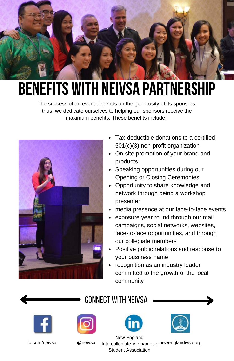

## **benefits with neivsa partnership**

The success of an event depends on the generosity of its sponsors; thus, we dedicate ourselves to helping our sponsors receive the maximum benefits. These benefits include:



- Tax-deductible donations to a certified 501(c)(3) non-profit organization
- On-site promotion of your brand and products
- Speaking opportunities during our Opening or Closing Ceremonies
- Opportunity to share knowledge and network through being a workshop presenter
- media presence at our face-to-face events
- exposure year round through our mail campaigns, social networks, websites, face-to-face opportunities, and through our collegiate members
- Positive public relations and response to your business name
- recognition as an industry leader committed to the growth of the local community



#### connect with neivsa











fb.com/neivsa @neivsa Intercollegiate Vietnamese newenglandivsa.org New England Student Association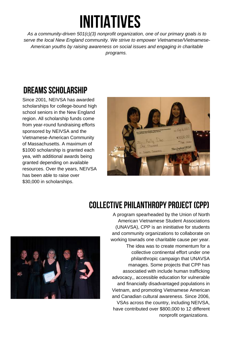## **initiatives**

*As a community-driven 501(c)(3) nonprofit organization, one of our primary goals is to serve the local New England community. We strive to empower Vietnamese/Vietnamese-American youths by raising awareness on social issues and engaging in charitable programs.*

### **DREAMS SCHOLARSHIP**

Since 2001, NEIVSA has awarded scholarships for college-bound high school seniors in the New England region. All scholarship funds come from year-round fundraising efforts sponsored by NEIVSA and the Vietnamese-American Community of Massachusetts. A maximum of \$1000 scholarship is granted each yea, with additional awards being granted depending on available resources. Over the years, NEIVSA has been able to raise over \$30,000 in scholarships.



#### **COLLECTIVE PHILANTHROPY PROJECT (CPP)**



A program spearheaded by the Union of North American Vietnamese Student Associations (UNAVSA), CPP is an ininitiative for students and community organizations to collaborate on working towrads one charitable cause per year. The idea was to create momentum for a collective continental effort under one philanthropic campaign that UNAVSA manages. Some projects that CPP has associatied with include human trafficking advocacy,, accessible education for vulnerable and financially disadvantaged populations in Vietnam, and promoting Vietnamese American and Canadian cultural awareness. Since 2006, VSAs across the country, including NEIVSA, have contributed over \$800,000 to 12 different nonprofit organizations.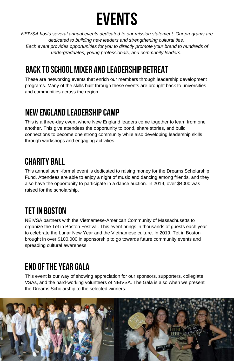

*NEIVSA hosts several annual events dedicated to our mission statement. Our programs are dedicated to building new leaders and strengthening cultural ties. Each event provides opportunities for you to directly promote your brand to hundreds of undergraduates, young professionals, and community leaders.*

### **Back toSchool Mixer and Leadership Retreat**

These are networking events that enrich our members through leadership development programs. Many of the skills built through these events are brought back to universities and communities across the region.

### **New England leadershipcamp**

This is a three-day event where New England leaders come together to learn from one another. This give attendees the opportunity to bond, share stories, and build connections to become one strong community while also developing leadership skills through workshops and engaging activities.

### **charity ball**

This annual semi-formal event is dedicated to raising money for the Dreams Scholarship Fund. Attendees are able to enjoy a night of music and dancing among friends, and they also have the opportunity to participate in a dance auction. In 2019, over \$4000 was raised for the scholarship.

### **Tetin Boston**

NEIVSA partners with the Vietnamese-American Community of Massachusetts to organize the Tet in Boston Festival. This event brings in thousands of guests each year to celebrate the Lunar New Year and the Vietnamese culture. In 2019, Tet in Boston brought in over \$100,000 in sponsorship to go towards future community events and spreading cultural awareness.

### **End oftheYear gala**

This event is our way of showing appreciation for our sponsors, supporters, collegiate VSAs, and the hard-working volunteers of NEIVSA. The Gala is also when we present the Dreams Scholarship to the selected winners.

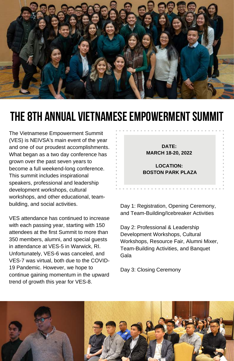

### **THE 8TH ANNUAL VIETNAMESE EMPOWERMENT SUMMIT**

The Vietnamese Empowerment Summit (VES) is NEIVSA's main event of the year and one of our proudest accomplishments. What began as a two day conference has grown over the past seven years to become a full weekend-long conference. This summit includes inspirational speakers, professional and leadership development workshops, cultural workshops, and other educational, teambuilding, and social activities.

VES attendance has continued to increase with each passing year, starting with 150 attendees at the first Summit to more than 350 members, alumni, and special guests in attendance at VES-5 in Warwick, RI. Unfortunately, VES-6 was canceled, and VES-7 was virtual, both due to the COVID-19 Pandemic. However, we hope to continue gaining momentum in the upward trend of growth this year for VES-8.

**DATE: MARCH 18-20, 2022**

**LOCATION: BOSTON PARK PLAZA**

Day 1: Registration, Opening Ceremony, and Team-Building/Icebreaker Activities

Day 2: Professional & Leadership Development Workshops, Cultural Workshops, Resource Fair, Alumni Mixer, Team-Building Activities, and Banquet Gala

Day 3: Closing Ceremony

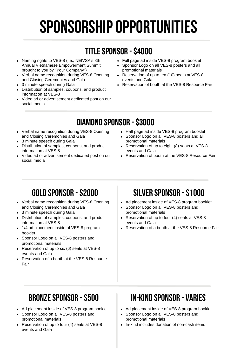## **sponsorshipopportunities**

### **titlesponsor -\$4000**

- Naming rights to VES-8 (i.e., NEIVSA's 8th Annual Vietnamese Empowerment Summit brought to you by "Your Company")
- Verbal name recognition during VES-8 Opening and Closing Ceremonies and Gala
- 3 minute speech during Gala
- Distribution of samples, coupons, and product information at VES-8
- Video ad or advertisement dedicated post on our social media
- Full page ad inside VES-8 program booklet
- Sponsor Logo on all VES-8 posters and all promotional materials
- Reservation of up to ten (10) seats at VES-8 events and Gala
- Reservation of booth at the VES-8 Resource Fair

### **diamond sponsor -\$3000**

- Verbal name recognition during VES-8 Opening and Closing Ceremonies and Gala
- 3 minute speech during Gala
- Distribution of samples, coupons, and product information at VES-8
- Video ad or advertisement dedicated post on our social media
- Half page ad inside VES-8 program booklet
- Sponsor Logo on all VES-8 posters and all promotional materials
- Reservation of up to eight (8) seats at VES-8 events and Gala
- Reservation of booth at the VES-8 Resource Fair

- Verbal name recognition during VES-8 Opening and Closing Ceremonies and Gala
- 3 minute speech during Gala
- Distribution of samples, coupons, and product information at VES-8
- 1/4 ad placement inside of VES-8 program booklet
- Sponsor Logo on all VES-8 posters and promotional materials
- Reservation of up to six (6) seats at VES-8 events and Gala
- Reservation of a booth at the VES-8 Resource Fair

### **gold sponsor -\$2000 silver sponsor -\$1000**

- Ad placement inside of VES-8 program booklet
- Sponsor Logo on all VES-8 posters and promotional materials
- Reservation of up to four (4) seats at VES-8 events and Gala
- Reservation of a booth at the VES-8 Resource Fair

- Ad placement inside of VES-8 program booklet
- Sponsor Logo on all VES-8 posters and promotional materials
- Reservation of up to four (4) seats at VES-8 events and Gala

#### **bronzesponsor -\$500 in-kind sponsor - varies**

- Ad placement inside of VES-8 program booklet
- Sponsor Logo on all VES-8 posters and promotional materials
- In-kind includes donation of non-cash items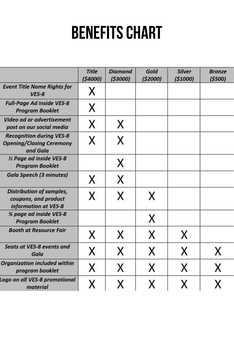## **BENEFITS CHART**

|                                                                                 | <b>Title</b><br>(54000) | <b>Diamond</b><br>(53000) | Gold<br>(52000) | <b>Silver</b><br>(51000) | <b>Bronze</b><br>(5500) |
|---------------------------------------------------------------------------------|-------------------------|---------------------------|-----------------|--------------------------|-------------------------|
| <b>Event Title Name Rights for</b><br>$VES-8$                                   | x                       |                           |                 |                          |                         |
| <b>Full-Page Ad inside VES-8</b><br><b>Program Booklet</b>                      | X                       |                           |                 |                          |                         |
| <b>Video ad or advertisement</b><br>post on our social media                    | Χ                       | x                         |                 |                          |                         |
| <b>Recognition during VES-8</b><br><b>Opening/Closing Ceremony</b><br>and Gala  | X                       | X                         |                 |                          |                         |
| 1/2 Page ad inside VES-8<br><b>Program Booklet</b>                              |                         | x                         |                 |                          |                         |
| <b>Gala Speech (3 minutes)</b>                                                  | X                       | х                         |                 |                          |                         |
| <b>Distribution of samples,</b><br>coupons, and product<br>information at VES-8 | X                       | x                         | X               |                          |                         |
| % page ad inside VES-8<br><b>Program Booklet</b>                                |                         |                           | X               |                          |                         |
| <b>Booth at Resource Fair</b>                                                   | x                       | x                         | X               | X                        |                         |
| Seats at VES-8 events and<br>Gala                                               | x                       | x                         | х               | x                        | Χ                       |
| <b>Organization included within</b><br>program booklet                          | X                       | x                         | x               | x                        | χ                       |
| Logo on all VES-8 promotional<br>material                                       | Χ                       | x                         | x               | x                        | χ                       |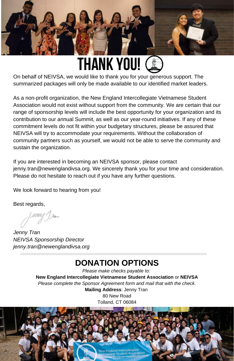

### **thank you!**

On behalf of NEIVSA, we would like to thank you for your generous support. The summarized packages will only be made available to our identified market leaders.

As a non-profit organization, the New England Intercollegiate Vietnamese Student Association would not exist without support from the community. We are certain that our range of sponsorship levels will include the best opportunity for your organization and its contribution to our annual Summit, as well as our year-round initiatives. If any of these commitment levels do not fit within your budgetary structures, please be assured that NEIVSA will try to accommodate your requirements. Without the collaboration of community partners such as yourself, we would not be able to serve the community and sustain the organization.

If you are interested in becoming an NEIVSA sponsor, please contact jenny.tran@newenglandivsa.org. We sincerely thank you for your time and consideration. Please do not hesitate to reach out if you have any further questions.

We look forward to hearing from you!

Best regards,

Jan

*Jenny Tran NEIVSA Sponsorship Director jenny.tran@newenglandivsa.org*

#### **DONATION OPTIONS**

*Please make checks payable to:* **New England Intercollegiate Vietnamese Student Association** or **NEIVSA** *Please complete the Sponsor Agreement form and mail that with the check.* **Mailing Address**: Jenny Tran 80 New Road Tolland, CT 06084

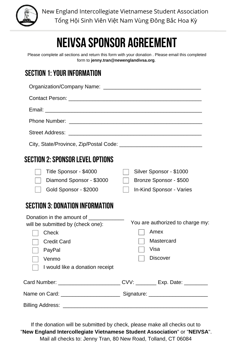

New England Intercollegiate Vietnamese Student Association Tổng Hội Sinh Viên Việt Nam Vùng Đông Bắc Hoa Kỳ

### **NEIVSA Sponsor agreement**

Please complete all sections and return this form with your donation . Please email this completed form to **jenny.tran@newenglandivsa.org**.

#### **section 1:your information**

| Organization/Company Name:                                                                                                                                                                                                                                                                                                                                     |                                                                                   |  |  |
|----------------------------------------------------------------------------------------------------------------------------------------------------------------------------------------------------------------------------------------------------------------------------------------------------------------------------------------------------------------|-----------------------------------------------------------------------------------|--|--|
|                                                                                                                                                                                                                                                                                                                                                                |                                                                                   |  |  |
|                                                                                                                                                                                                                                                                                                                                                                |                                                                                   |  |  |
|                                                                                                                                                                                                                                                                                                                                                                |                                                                                   |  |  |
|                                                                                                                                                                                                                                                                                                                                                                |                                                                                   |  |  |
|                                                                                                                                                                                                                                                                                                                                                                |                                                                                   |  |  |
| SECTION 2: SPONSOR LEVEL OPTIONS                                                                                                                                                                                                                                                                                                                               |                                                                                   |  |  |
| Title Sponsor - \$4000<br>Diamond Sponsor - \$3000<br>Gold Sponsor - \$2000                                                                                                                                                                                                                                                                                    | Silver Sponsor - \$1000<br>Bronze Sponsor - \$500<br>In-Kind Sponsor - Varies     |  |  |
| <b>SECTION 3: DONATION INFORMATION</b>                                                                                                                                                                                                                                                                                                                         |                                                                                   |  |  |
| Donation in the amount of <b>Constanting Constanting Constanting Constanting Constanting Constanting Constanting Constanting Constanting Constanting Constanting Constanting Constanting Constanting Constanting Constanting Con</b><br>will be submitted by (check one):<br>Check<br><b>Credit Card</b><br>PayPal<br>Venmo<br>I would like a donation receipt | You are authorized to charge my:<br>Amex<br>Mastercard<br>Visa<br><b>Discover</b> |  |  |
| Card Number: ___________________________CVV: ________ Exp. Date: _________                                                                                                                                                                                                                                                                                     |                                                                                   |  |  |
|                                                                                                                                                                                                                                                                                                                                                                |                                                                                   |  |  |
| Billing Address:<br><u> 1989 - Jan Berlin, margaret amerikan bahasa dalam pengaran bahasa dalam pengaran bahasa dalam pengaran bahasa</u>                                                                                                                                                                                                                      |                                                                                   |  |  |

If the donation will be submitted by check, please make all checks out to "**New England Intercollegiate Vietnamese Student Association**" or "**NEIVSA**". Mail all checks to: Jenny Tran, 80 New Road, Tolland, CT 06084